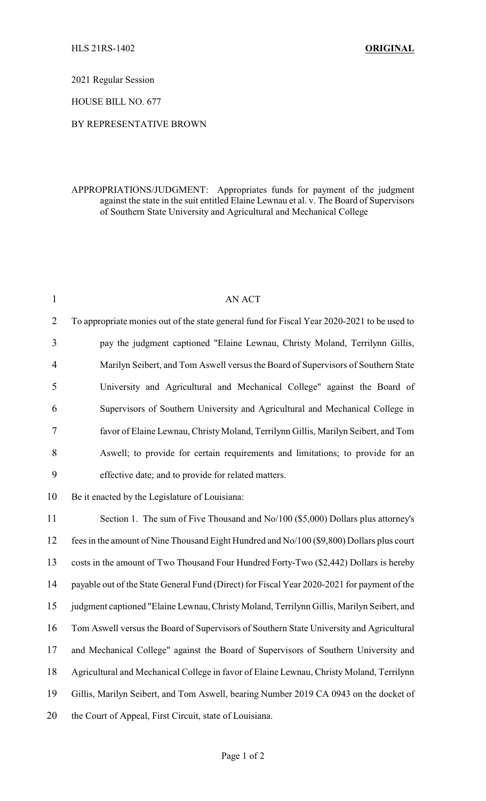2021 Regular Session

HOUSE BILL NO. 677

## BY REPRESENTATIVE BROWN

## APPROPRIATIONS/JUDGMENT: Appropriates funds for payment of the judgment against the state in the suit entitled Elaine Lewnau et al. v. The Board of Supervisors of Southern State University and Agricultural and Mechanical College

| $\mathbf{1}$   | <b>AN ACT</b>                                                                               |
|----------------|---------------------------------------------------------------------------------------------|
| $\overline{2}$ | To appropriate monies out of the state general fund for Fiscal Year 2020-2021 to be used to |
| 3              | pay the judgment captioned "Elaine Lewnau, Christy Moland, Terrilynn Gillis,                |
| 4              | Marilyn Seibert, and Tom Aswell versus the Board of Supervisors of Southern State           |
| 5              | University and Agricultural and Mechanical College" against the Board of                    |
| 6              | Supervisors of Southern University and Agricultural and Mechanical College in               |
| 7              | favor of Elaine Lewnau, Christy Moland, Terrilynn Gillis, Marilyn Seibert, and Tom          |
| 8              | Aswell; to provide for certain requirements and limitations; to provide for an              |
| 9              | effective date; and to provide for related matters.                                         |
| 10             | Be it enacted by the Legislature of Louisiana:                                              |
| 11             | Section 1. The sum of Five Thousand and No/100 (\$5,000) Dollars plus attorney's            |
| 12             | fees in the amount of Nine Thousand Eight Hundred and No/100 (\$9,800) Dollars plus court   |
| 13             | costs in the amount of Two Thousand Four Hundred Forty-Two (\$2,442) Dollars is hereby      |
| 14             | payable out of the State General Fund (Direct) for Fiscal Year 2020-2021 for payment of the |
| 15             | judgment captioned "Elaine Lewnau, Christy Moland, Terrilynn Gillis, Marilyn Seibert, and   |
| 16             | Tom Aswell versus the Board of Supervisors of Southern State University and Agricultural    |
| 17             | and Mechanical College" against the Board of Supervisors of Southern University and         |
| 18             | Agricultural and Mechanical College in favor of Elaine Lewnau, Christy Moland, Terrilynn    |
| 19             | Gillis, Marilyn Seibert, and Tom Aswell, bearing Number 2019 CA 0943 on the docket of       |
| 20             | the Court of Appeal, First Circuit, state of Louisiana.                                     |
|                |                                                                                             |